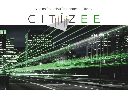### Citizen financing for energy efficiency



**THE R**  $1111$ ្នំទេស **Take**  $18.7 + 1.5$ . . Giftet 1830 fr series Æĭ **MARKATHAM ACTEMENT** 

 $10000$ 

期

'n

Βŧ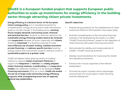## **CitizEE is a European funded project that supports European public authorities to scale up investments for energy efficiency in the building sector through attracting citizen private investments.**

**Energy efficiency is a decisive factor of the European Union's energy policy** as it is considered essential for competitiveness, energy security and to meet international goals on climate change. In the building sector, **reaching the EU targets demands overcoming social, financial and technical barriers**. However, to meet the objectives the **sustainable energy financing models need to be reviewed**  and **cooperation** between all actors, especially with **citizens**, should be **maximised**. It is therefore essential to make **more effective use of public funding**, **mobilise innovative private financing** and **address specific barriers** faced by energy citizens and communities' projects wishing to invest in **sustainable projects at a greater scale**.

CitizEE will address these goals by means of creating national or regional **Citizen Investment Platforms** to support the **integration** of **tailored** and **widely adopted citizen financing schemes**, **crowdfunding** and **cooperative models** with adequate available or to be developed **Public Financing Instruments** (PFIs). As a result, **CitizEE will enable the set-up of large-scale community energy efficiency programs while strengthening know-how of regional/ national key stakeholders**.

### **Specific objectives:**

- Prepare the groundwork for the establishment of Citzen Investment Platforms EFSI-backed in the project pilots
- Evaluate competitiveness of the innovative financing schemes to be developed by the project, so-called "CFs4EE Financing Schemes", based on the integration of citizen financing with public financing instruments
- Demonstrate the viability and market potential of CitizEE's "CFs4EE Financing Schemes"
- Develop recommendations for improving the market and regulatory framework.
- Enhance the in-house capacities of the relevant stakeholders
- Promote the project concepts and its advantages among those who could support citizen financing schemes deployment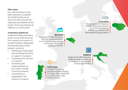### **Pilot cases**

Four demonstrators have been selected to establish the CitizEE platforms as well as to demonstrate the replication possibilities of the project financing schemes at regional or country level.

#### **Investment platforms**

Investment facility channeling public and private financing from several co-investors to provide funding to designated final beneficiaries and/or projects, aimed at:

- Identifying market gaps and providing financing or support to projects;
- Facilitating the inclusion of investors;
- Facilitating the implementation of the CitizEE "CFs4EE Financing Scheme";
- Contributing to aggregation and pooling of projects.

# veb **BELGIUM**

Regional CFs4EE financing scheme implementation to co-finance deep energy renovations of school buildings via EPC

# VIPA

### **LITHUANIA**

Development of National CFs4EE financing scheme to co-finance Energy Efficiency projects and Renewable Energy projects





### **CROATIA**

Regional CFs4EE financing scheme implementation to co-finance or finance EPC contracts/portfolios



### **PORTUGAL**

CFS4EE Financing scheme implmentation to foster the investment in community used infrastructure